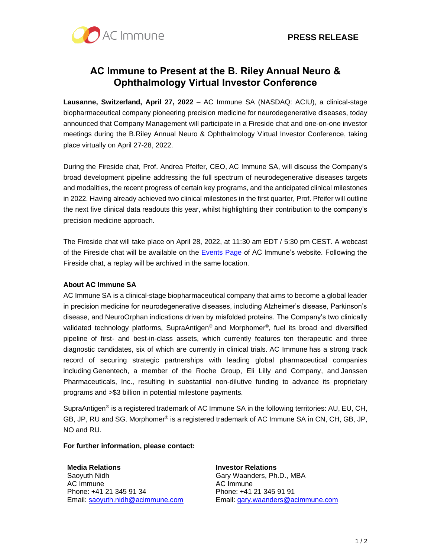

# **AC Immune to Present at the B. Riley Annual Neuro & Ophthalmology Virtual Investor Conference**

**Lausanne, Switzerland, April 27, 2022** – AC Immune SA (NASDAQ: ACIU), a clinical-stage biopharmaceutical company pioneering precision medicine for neurodegenerative diseases, today announced that Company Management will participate in a Fireside chat and one-on-one investor meetings during the B.Riley Annual Neuro & Ophthalmology Virtual Investor Conference, taking place virtually on April 27-28, 2022.

During the Fireside chat, Prof. Andrea Pfeifer, CEO, AC Immune SA, will discuss the Company's broad development pipeline addressing the full spectrum of neurodegenerative diseases targets and modalities, the recent progress of certain key programs, and the anticipated clinical milestones in 2022. Having already achieved two clinical milestones in the first quarter, Prof. Pfeifer will outline the next five clinical data readouts this year, whilst highlighting their contribution to the company's precision medicine approach.

The Fireside chat will take place on April 28, 2022, at 11:30 am EDT / 5:30 pm CEST. A webcast of the Fireside chat will be available on the [Events Page](https://www.globenewswire.com/Tracker?data=o6pE-75WLRCPdc2N982a5MPLjqSwZjbBxGW6wUWIn5gHAKQtsU01vXRM4FbT8VwPcqpfcK4Ug1cfxIfIq4r1nQ==) of AC Immune's website. Following the Fireside chat, a replay will be archived in the same location.

## **About AC Immune SA**

AC Immune SA is a clinical-stage biopharmaceutical company that aims to become a global leader in precision medicine for neurodegenerative diseases, including Alzheimer's disease, Parkinson's disease, and NeuroOrphan indications driven by misfolded proteins. The Company's two clinically validated technology platforms, SupraAntigen® and Morphomer®, fuel its broad and diversified pipeline of first- and best-in-class assets, which currently features ten therapeutic and three diagnostic candidates, six of which are currently in clinical trials. AC Immune has a strong track record of securing strategic partnerships with leading global pharmaceutical companies including Genentech, a member of the Roche Group, Eli Lilly and Company, and Janssen Pharmaceuticals, Inc., resulting in substantial non-dilutive funding to advance its proprietary programs and >\$3 billion in potential milestone payments.

SupraAntigen® is a registered trademark of AC Immune SA in the following territories: AU, EU, CH, GB, JP, RU and SG. Morphomer® is a registered trademark of AC Immune SA in CN, CH, GB, JP, NO and RU.

## **For further information, please contact:**

#### **Media Relations**

Saoyuth Nidh AC Immune Phone: +41 21 345 91 34 Email: [saoyuth.nidh@acimmune.com](mailto:saoyuth.nidh@acimmune.com) **Investor Relations** Gary Waanders, Ph.D., MBA AC Immune Phone: +41 21 345 91 91 Email: [gary.waanders@acimmune.com](mailto:gary.waanders@acimmune.com)